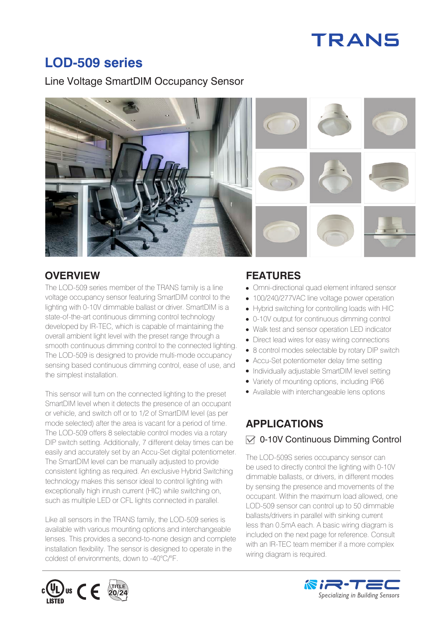# **TRANS**

# **LOD-509 series**

Line Voltage SmartDIM Occupancy Sensor



## **OVERVIEW FEATURES**

The LOD-509 series member of the TRANS family is a line voltage occupancy sensor featuring SmartDIM control to the lighting with 0-10V dimmable ballast or driver. SmartDIM is a state-of-the-art continuous dimming control technology developed by IR-TEC, which is capable of maintaining the overall ambient light level with the preset range through a smooth continuous dimming control to the connected lighting. The LOD-509 is designed to provide multi-mode occupancy sensing based continuous dimming control, ease of use, and the simplest installation.

This sensor will turn on the connected lighting to the preset SmartDIM level when it detects the presence of an occupant or vehicle, and switch off or to 1/2 of SmartDIM level (as per mode selected) after the area is vacant for a period of time. The LOD-509 offers 8 selectable control modes via a rotary DIP switch setting. Additionally, 7 different delay times can be easily and accurately set by an Accu-Set digital potentiometer. The SmartDIM level can be manually adjusted to provide consistent lighting as required. An exclusive Hybrid Switching technology makes this sensor ideal to control lighting with exceptionally high inrush current (HIC) while switching on, such as multiple LED or CFL lights connected in parallel.

Like all sensors in the TRANS family, the LOD-509 series is available with various mounting options and interchangeable lenses. This provides a second-to-none design and complete installation flexibility. The sensor is designed to operate in the coldest of environments, down to -40°C/°F.

- Omni-directional quad element infrared sensor
- 100/240/277VAC line voltage power operation
- Hybrid switching for controlling loads with HIC
- 0-10V output for continuous dimming control
- Walk test and sensor operation LED indicator
- Direct lead wires for easy wiring connections
- 8 control modes selectable by rotary DIP switch
- Accu-Set potentiometer delay time setting
- Individually adjustable SmartDIM level setting
- Variety of mounting options, including IP66
- Available with interchangeable lens options

# **APPLICATIONS**

#### $\sqrt{ }$  0-10V Continuous Dimming Control

The LOD-509S series occupancy sensor can be used to directly control the lighting with 0-10V dimmable ballasts, or drivers, in different modes by sensing the presence and movements of the occupant. Within the maximum load allowed, one LOD-509 sensor can control up to 50 dimmable ballasts/drivers in parallel with sinking current less than 0.5mA each. A basic wiring diagram is included on the next page for reference. Consult with an IR-TEC team member if a more complex wiring diagram is required.